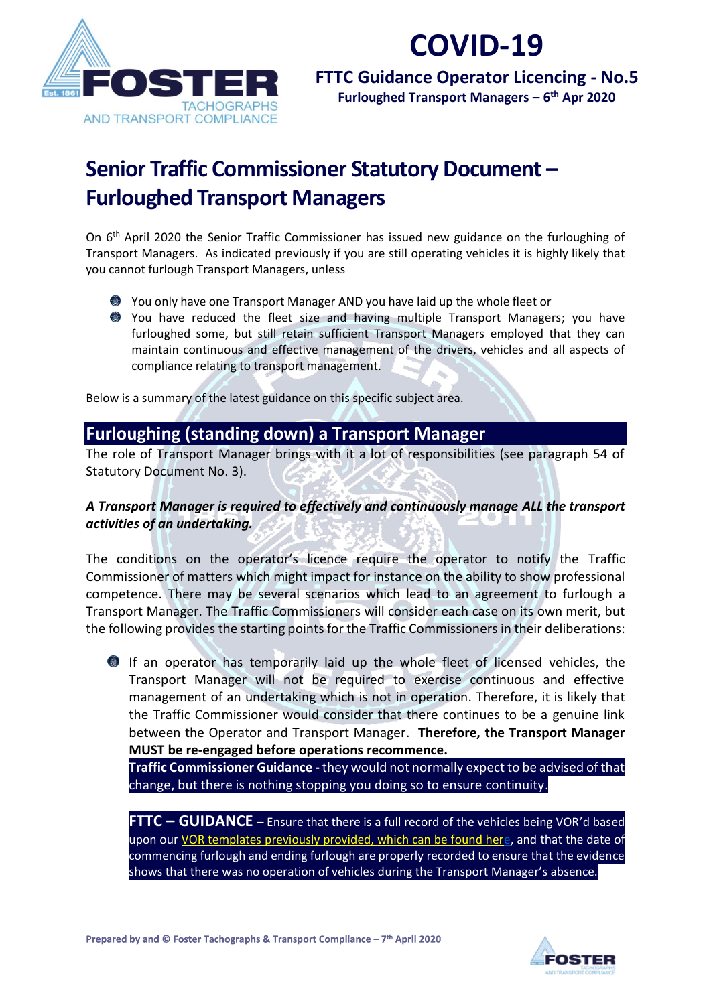

# **COVID-19**

**FTTC Guidance Operator Licencing - No.5 Furloughed Transport Managers – 6 th Apr 2020**

### **Senior Traffic Commissioner Statutory Document – Furloughed Transport Managers**

On 6<sup>th</sup> April 2020 the Senior Traffic Commissioner has issued new guidance on the furloughing of Transport Managers. As indicated previously if you are still operating vehicles it is highly likely that you cannot furlough Transport Managers, unless

- You only have one Transport Manager AND you have laid up the whole fleet or
- You have reduced the fleet size and having multiple Transport Managers; you have furloughed some, but still retain sufficient Transport Managers employed that they can maintain continuous and effective management of the drivers, vehicles and all aspects of compliance relating to transport management.

Below is a summary of the latest guidance on this specific subject area.

### **Furloughing (standing down) a Transport Manager**

The role of Transport Manager brings with it a lot of responsibilities (see paragraph 54 of Statutory Document No. 3).

#### *A Transport Manager is required to effectively and continuously manage ALL the transport activities of an undertaking.*

The conditions on the operator's licence require the operator to notify the Traffic Commissioner of matters which might impact for instance on the ability to show professional competence. There may be several scenarios which lead to an agreement to furlough a Transport Manager. The Traffic Commissioners will consider each case on its own merit, but the following provides the starting points for the Traffic Commissioners in their deliberations:

If an operator has temporarily laid up the whole fleet of licensed vehicles, the Transport Manager will not be required to exercise continuous and effective management of an undertaking which is not in operation. Therefore, it is likely that the Traffic Commissioner would consider that there continues to be a genuine link between the Operator and Transport Manager. **Therefore, the Transport Manager MUST be re-engaged before operations recommence.**

**Traffic Commissioner Guidance -** they would not normally expect to be advised of that change, but there is nothing stopping you doing so to ensure continuity.

**FTTC – GUIDANCE** – Ensure that there is a full record of the vehicles being VOR'd based upon our [VOR templates previously provided, which can be found here,](https://www.fostertachographs.co.uk/vor-documents/) and that the date of commencing furlough and ending furlough are properly recorded to ensure that the evidence shows that there was no operation of vehicles during the Transport Manager's absence.

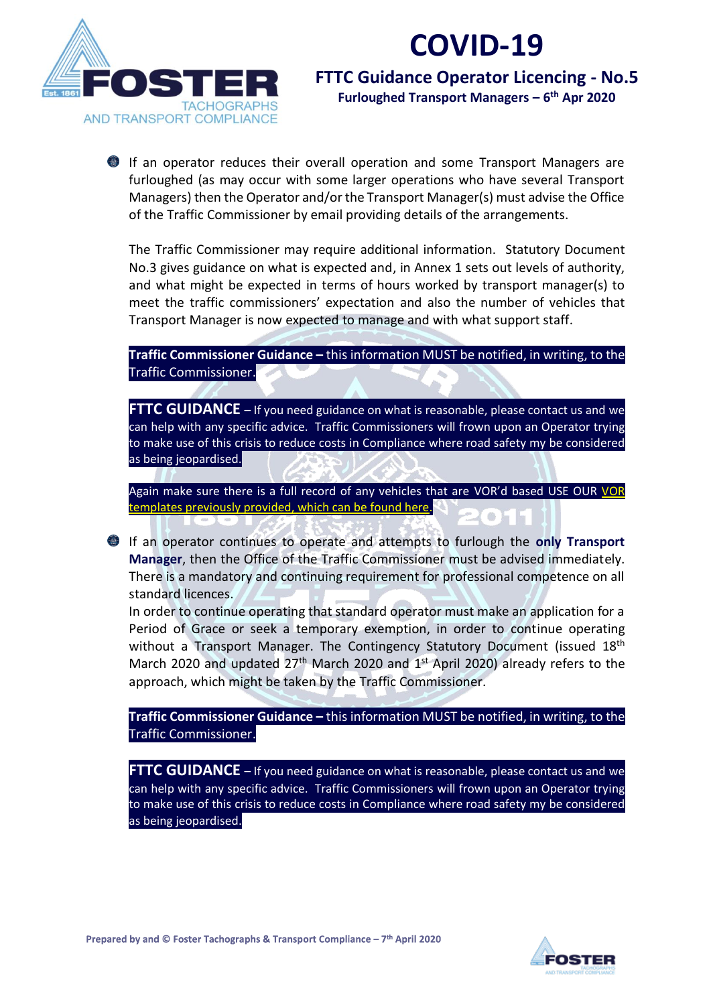

# **COVID-19**

**FTTC Guidance Operator Licencing - No.5 Furloughed Transport Managers – 6 th Apr 2020**

If an operator reduces their overall operation and some Transport Managers are furloughed (as may occur with some larger operations who have several Transport Managers) then the Operator and/or the Transport Manager(s) must advise the Office of the Traffic Commissioner by email providing details of the arrangements.

The Traffic Commissioner may require additional information. Statutory Document No.3 gives guidance on what is expected and, in Annex 1 sets out levels of authority, and what might be expected in terms of hours worked by transport manager(s) to meet the traffic commissioners' expectation and also the number of vehicles that Transport Manager is now expected to manage and with what support staff.

**Traffic Commissioner Guidance -** this information MUST be notified, in writing, to the Traffic Commissioner.

**FTTC GUIDANCE** - If you need guidance on what is reasonable, please contact us and we can help with any specific advice. Traffic Commissioners will frown upon an Operator trying to make use of this crisis to reduce costs in Compliance where road safety my be considered as being jeopardised.

Again make sure there is a full record of any vehicles that are VOR'd based USE OUR VOR [templates previously provided, which can be found here.](https://www.fostertachographs.co.uk/vor-documents/)

If an operator continues to operate and attempts to furlough the **only Transport Manager**, then the Office of the Traffic Commissioner must be advised immediately. There is a mandatory and continuing requirement for professional competence on all standard licences.

In order to continue operating that standard operator must make an application for a Period of Grace or seek a temporary exemption, in order to continue operating without a Transport Manager. The Contingency Statutory Document (issued 18<sup>th</sup>) March 2020 and updated  $27<sup>th</sup>$  March 2020 and  $1<sup>st</sup>$  April 2020) already refers to the approach, which might be taken by the Traffic Commissioner.

**Traffic Commissioner Guidance –** this information MUST be notified, in writing, to the Traffic Commissioner.

**FTTC GUIDANCE** – If you need guidance on what is reasonable, please contact us and we can help with any specific advice. Traffic Commissioners will frown upon an Operator trying to make use of this crisis to reduce costs in Compliance where road safety my be considered as being jeopardised.